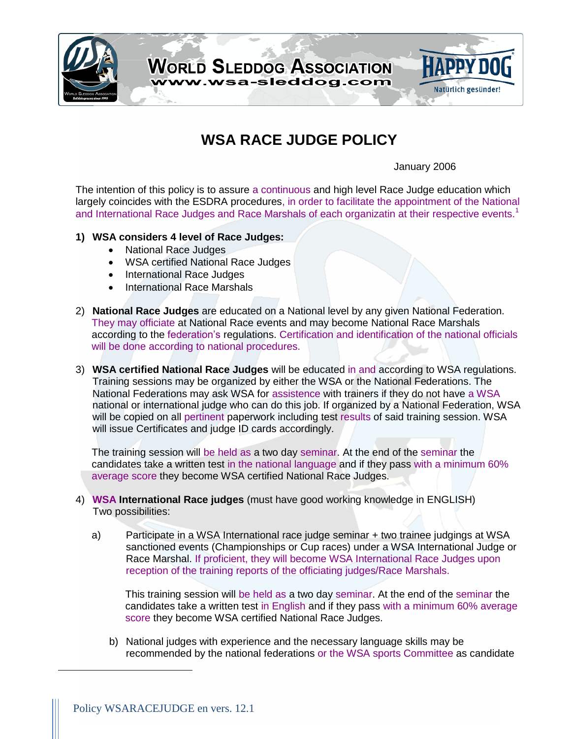

## **WSA RACE JUDGE POLICY**

January 2006

The intention of this policy is to assure a continuous and high level Race Judge education which largely coincides with the ESDRA procedures, in order to facilitate the appointment of the National and International Race Judges and Race Marshals of each organizatin at their respective events.<sup>1</sup>

## **1) WSA considers 4 level of Race Judges:**

- National Race Judges
- WSA certified National Race Judges
- International Race Judges
- International Race Marshals
- 2) **National Race Judges** are educated on a National level by any given National Federation. They may officiate at National Race events and may become National Race Marshals according to the federation's regulations. Certification and identification of the national officials will be done according to national procedures.
- 3) **WSA certified National Race Judges** will be educated in and according to WSA regulations. Training sessions may be organized by either the WSA or the National Federations. The National Federations may ask WSA for assistence with trainers if they do not have a WSA national or international judge who can do this job. If organized by a National Federation, WSA will be copied on all pertinent paperwork including test results of said training session. WSA will issue Certificates and judge ID cards accordingly.

The training session will be held as a two day seminar. At the end of the seminar the candidates take a written test in the national language and if they pass with a minimum 60% average score they become WSA certified National Race Judges.

- 4) **WSA International Race judges** (must have good working knowledge in ENGLISH) Two possibilities:
	- a) Participate in a WSA International race judge seminar + two trainee judgings at WSA sanctioned events (Championships or Cup races) under a WSA International Judge or Race Marshal. If proficient, they will become WSA International Race Judges upon reception of the training reports of the officiating judges/Race Marshals.

This training session will be held as a two day seminar. At the end of the seminar the candidates take a written test in English and if they pass with a minimum 60% average score they become WSA certified National Race Judges.

b) National judges with experience and the necessary language skills may be recommended by the national federations or the WSA sports Committee as candidate

 $\overline{a}$